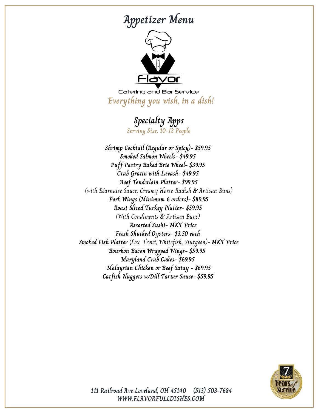# **Appetizer Menu**



Catering and Bar Service **Everything you wish, in a dish!**

### **Specialty Apps**

**Serving Size, 10-12 People**

**Shrimp Cocktail (Regular or Spicy)- \$59.95 Smoked Salmon Wheels- \$49.95 Puff Pastry Baked Brie Wheel- \$39.95 Crab Gratin with Lavash- \$49.95 Beef Tenderloin Platter- \$99.95** (with Béarnaise Sauce, Creamy Horse Radish & Artisan Buns) **Pork Wings (Minimum 6 orders)- \$89.95 Roast Sliced Turkey Platter- \$59.95** (With Condiments & Artisan Buns) **Assorted Sushi- MKT Price Fresh Shucked Oysters- \$3.50 each Smoked Fish Platter** (Lox, Trout, Whitefish, Sturgeon)**- MKT Price Bourbon Bacon Wrapped Wings- \$59.95 Maryland Crab Cakes- \$69.95 Malaysian Chicken or Beef Satay - \$69.95 Catfish Nuggets w/Dill Tartar Sauce- \$59.95**



**WWW.FLAVORFULLDISHES.COM 111 Railroad Ave Loveland, OH 45140 (513) 503-7684**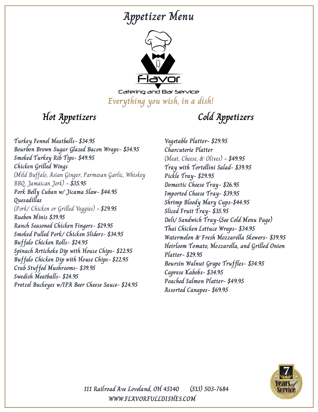## **Appetizer Menu**



Catering and Bar Service **Everything you wish, in a dish!**

**Hot Appetizers Cold Appetizers**

**Turkey Fennel Meatballs- \$34.95 Bourbon Brown Sugar Glazed Bacon Wraps- \$34.95 Smoked Turkey Rib Tips- \$49.95 Chicken Grilled Wings** (Mild Buffalo, Asian Ginger, Parmesan Garlic, Whiskey BBQ, Jamaican Jerk) **- \$35.95 Pork Belly Cuban w/ Jicama Slaw- \$44.95 Quesadillas** (Pork/ Chicken or Grilled Veggies) **- \$29.95 Rueben Minis \$39.95 Ranch Seasoned Chicken Fingers- \$29.95 Smoked Pulled Pork/ Chicken Sliders- \$34.95 Buffalo Chicken Rolls- \$24.95 Spinach Artichoke Dip with House Chips- \$22.95 Buffalo Chicken Dip with House Chips- \$22.95 Crab Stuffed Mushrooms- \$39.95 Swedish Meatballs- \$24.95 Pretzel Buckeyes w/IPA Beer Cheese Sauce- \$24.95**

**Vegetable Platter- \$29.95 Charcuterie Platter** (Meat, Cheese, & Olives) **- \$49.95 Tray with Tortellini Salad- \$39.95 Pickle Tray- \$29.95 Domestic Cheese Tray- \$26.95 Imported Cheese Tray- \$39.95 Shrimp Bloody Mary Cups-\$44.95 Sliced Fruit Tray- \$35.95 Deli/ Sandwich Tray-(See Cold Menu Page) Thai Chicken Lettuce Wraps- \$34.95 Watermelon & Fresh Mozzarella Skewers- \$39.95 Heirloom Tomato, Mozzarella, and Grilled Onion Platter- \$29.95 Boursin Walnut Grape Truffles- \$34.95 Caprese Kabobs- \$34.95 Poached Salmon Platter- \$49.95 Assorted Canapes- \$69.95**



**WWW.FLAVORFULLDISHES.COM 111 Railroad Ave Loveland, OH 45140 (513) 503-7684**